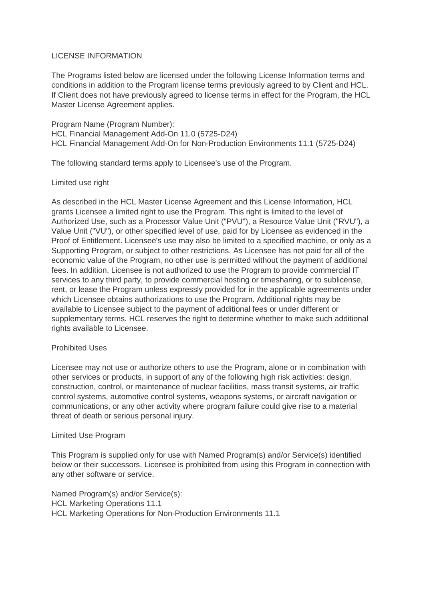# LICENSE INFORMATION

The Programs listed below are licensed under the following License Information terms and conditions in addition to the Program license terms previously agreed to by Client and HCL. If Client does not have previously agreed to license terms in effect for the Program, the HCL Master License Agreement applies.

Program Name (Program Number): HCL Financial Management Add-On 11.0 (5725-D24) HCL Financial Management Add-On for Non-Production Environments 11.1 (5725-D24)

The following standard terms apply to Licensee's use of the Program.

## Limited use right

As described in the HCL Master License Agreement and this License Information, HCL grants Licensee a limited right to use the Program. This right is limited to the level of Authorized Use, such as a Processor Value Unit ("PVU"), a Resource Value Unit ("RVU"), a Value Unit ("VU"), or other specified level of use, paid for by Licensee as evidenced in the Proof of Entitlement. Licensee's use may also be limited to a specified machine, or only as a Supporting Program, or subject to other restrictions. As Licensee has not paid for all of the economic value of the Program, no other use is permitted without the payment of additional fees. In addition, Licensee is not authorized to use the Program to provide commercial IT services to any third party, to provide commercial hosting or timesharing, or to sublicense, rent, or lease the Program unless expressly provided for in the applicable agreements under which Licensee obtains authorizations to use the Program. Additional rights may be available to Licensee subject to the payment of additional fees or under different or supplementary terms. HCL reserves the right to determine whether to make such additional rights available to Licensee.

# Prohibited Uses

Licensee may not use or authorize others to use the Program, alone or in combination with other services or products, in support of any of the following high risk activities: design, construction, control, or maintenance of nuclear facilities, mass transit systems, air traffic control systems, automotive control systems, weapons systems, or aircraft navigation or communications, or any other activity where program failure could give rise to a material threat of death or serious personal injury.

### Limited Use Program

This Program is supplied only for use with Named Program(s) and/or Service(s) identified below or their successors. Licensee is prohibited from using this Program in connection with any other software or service.

Named Program(s) and/or Service(s): HCL Marketing Operations 11.1 HCL Marketing Operations for Non-Production Environments 11.1